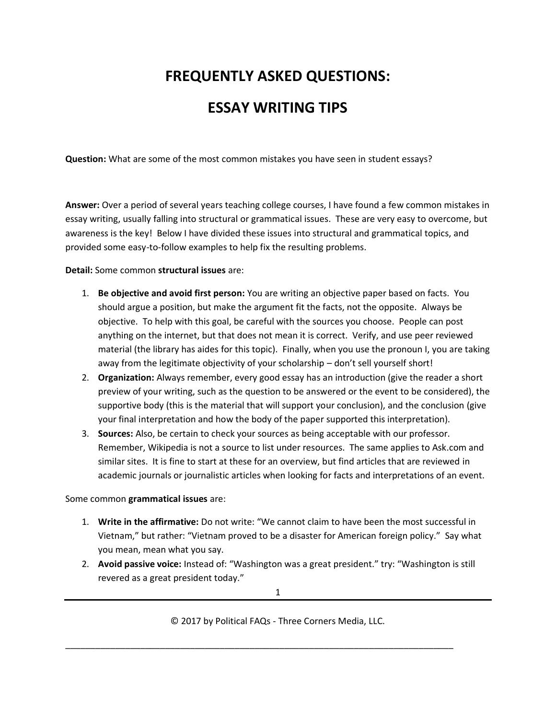## **FREQUENTLY ASKED QUESTIONS:**

## **ESSAY WRITING TIPS**

**Question:** What are some of the most common mistakes you have seen in student essays?

**Answer:** Over a period of several years teaching college courses, I have found a few common mistakes in essay writing, usually falling into structural or grammatical issues. These are very easy to overcome, but awareness is the key! Below I have divided these issues into structural and grammatical topics, and provided some easy-to-follow examples to help fix the resulting problems.

**Detail:** Some common **structural issues** are:

- 1. **Be objective and avoid first person:** You are writing an objective paper based on facts. You should argue a position, but make the argument fit the facts, not the opposite. Always be objective. To help with this goal, be careful with the sources you choose. People can post anything on the internet, but that does not mean it is correct. Verify, and use peer reviewed material (the library has aides for this topic). Finally, when you use the pronoun I, you are taking away from the legitimate objectivity of your scholarship – don't sell yourself short!
- 2. **Organization:** Always remember, every good essay has an introduction (give the reader a short preview of your writing, such as the question to be answered or the event to be considered), the supportive body (this is the material that will support your conclusion), and the conclusion (give your final interpretation and how the body of the paper supported this interpretation).
- 3. **Sources:** Also, be certain to check your sources as being acceptable with our professor. Remember, Wikipedia is not a source to list under resources. The same applies to Ask.com and similar sites. It is fine to start at these for an overview, but find articles that are reviewed in academic journals or journalistic articles when looking for facts and interpretations of an event.

## Some common **grammatical issues** are:

- 1. **Write in the affirmative:** Do not write: "We cannot claim to have been the most successful in Vietnam," but rather: "Vietnam proved to be a disaster for American foreign policy." Say what you mean, mean what you say.
- 2. **Avoid passive voice:** Instead of: "Washington was a great president." try: "Washington is still revered as a great president today."

© 2017 by Political FAQs - Three Corners Media, LLC.

\_\_\_\_\_\_\_\_\_\_\_\_\_\_\_\_\_\_\_\_\_\_\_\_\_\_\_\_\_\_\_\_\_\_\_\_\_\_\_\_\_\_\_\_\_\_\_\_\_\_\_\_\_\_\_\_\_\_\_\_\_\_\_\_\_\_\_\_\_\_\_\_\_\_\_\_\_\_